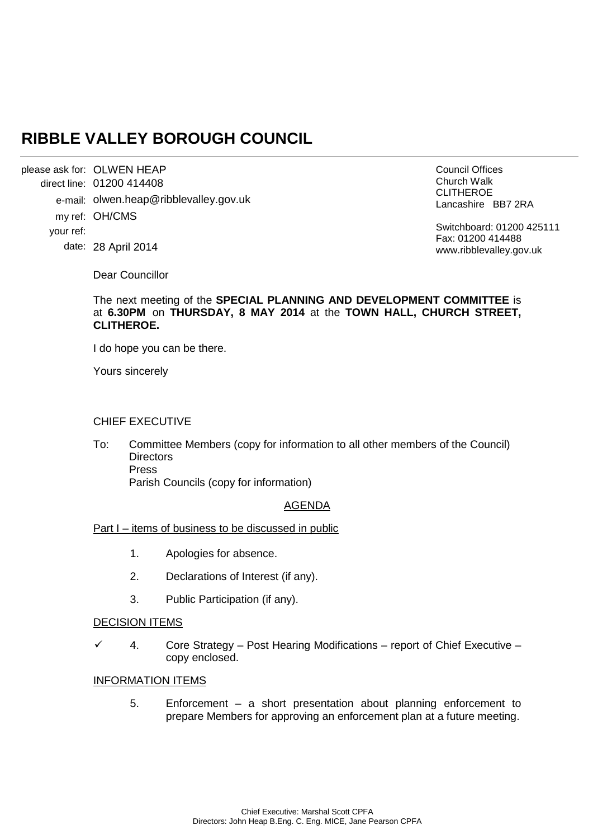# **RIBBLE VALLEY BOROUGH COUNCIL**

OLWEN HEAP please ask for: 01200 414408 direct line: e-mail: olwen.heap@ribblevalley.gov.uk my ref: OH/CMS 28 April 2014 date: your ref:

Council Offices Church Walk CLITHEROE Lancashire BB7 2RA

Switchboard: 01200 425111 Fax: 01200 414488 www.ribblevalley.gov.uk

Dear Councillor

## The next meeting of the **SPECIAL PLANNING AND DEVELOPMENT COMMITTEE** is at **6.30PM** on **THURSDAY, 8 MAY 2014** at the **TOWN HALL, CHURCH STREET, CLITHEROE.**

I do hope you can be there.

Yours sincerely

### CHIEF EXECUTIVE

To: Committee Members (copy for information to all other members of the Council) **Directors** Press Parish Councils (copy for information)

### AGENDA

### Part I – items of business to be discussed in public

- 1. Apologies for absence.
- 2. Declarations of Interest (if any).
- 3. Public Participation (if any).

### DECISION ITEMS

 $\checkmark$  4. Core Strategy – Post Hearing Modifications – report of Chief Executive – copy enclosed.

### INFORMATION ITEMS

5. Enforcement – a short presentation about planning enforcement to prepare Members for approving an enforcement plan at a future meeting.